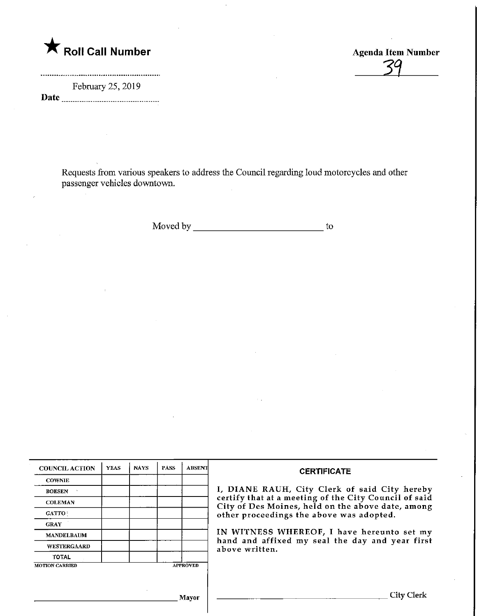**K** Roll Call Number

February 25, 2019 Date

.......*....*........................

Requests from various speakers to address the Council regarding loud motorcycles and other passenger vehicles downtown.

Agenda Item Number

-sa\_

Moved by to

| <b>COUNCIL ACTION</b> | <b>YEAS</b> | <b>NAYS</b> | <b>PASS</b> | <b>ABSENT</b>   | <b>CERTIFICATE</b>                                                                                                                                                                                      |  |
|-----------------------|-------------|-------------|-------------|-----------------|---------------------------------------------------------------------------------------------------------------------------------------------------------------------------------------------------------|--|
| <b>COWNIE</b>         |             |             |             |                 |                                                                                                                                                                                                         |  |
| <b>BOESEN</b>         |             |             |             |                 | I, DIANE RAUH, City Clerk of said City hereby<br>certify that at a meeting of the City Council of said<br>City of Des Moines, held on the above date, among<br>other proceedings the above was adopted. |  |
| <b>COLEMAN</b>        |             |             |             |                 |                                                                                                                                                                                                         |  |
| <b>GATTO</b>          |             |             |             |                 |                                                                                                                                                                                                         |  |
| <b>GRAY</b>           |             |             |             |                 |                                                                                                                                                                                                         |  |
| <b>MANDELBAUM</b>     |             |             |             |                 | IN WITNESS WHEREOF, I have hereunto set my<br>hand and affixed my seal the day and year first<br>above written.                                                                                         |  |
| <b>WESTERGAARD</b>    |             |             |             |                 |                                                                                                                                                                                                         |  |
| <b>TOTAL</b>          |             |             |             |                 |                                                                                                                                                                                                         |  |
| <b>MOTION CARRIED</b> |             |             |             | <b>APPROVED</b> |                                                                                                                                                                                                         |  |
|                       |             |             |             |                 |                                                                                                                                                                                                         |  |
|                       |             |             |             |                 |                                                                                                                                                                                                         |  |
| Mayor                 |             |             |             |                 | City Cl                                                                                                                                                                                                 |  |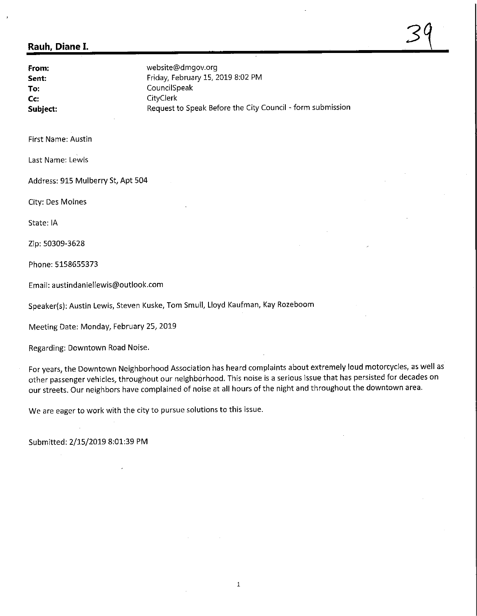## Rauh, Diane I.

From: Sent: To: Cc: Subject: website@dmgov.org Friday, February 15, 2019 8:02 PM CouncilSpeak **CityClerk** Request to Speak Before the City Council - form submission  $\mathsf{S} \mathsf{Y}$ 

First Name: Austin

Last Name: Lewis

Address: 915 Mulberry St, Apt 504

City: Des Moines

State: IA

Zip: 50309-3628

Phone:5158655373

Email: austindaniellewis@outlook.com

Speaker(s): Austin Lewis, Steven Kuske, Tom Smull, Lloyd Kaufman, Kay Rozeboom

Meeting Date: Monday, February 25, 2019

Regarding: Downtown Road Noise.

For years, the Downtown Neighborhood Association has heard complaints about extremely loud motorcycles, as well as other passenger vehicles, throughout our neighborhood. This noise is a serious issue that has persisted for decades on our streets. Our neighbors have complained of noise at all hours of the night and throughout the downtown area.

We are eager to work with the city to pursue solutions to this issue.

Submitted: 2/15/2019 8:01:39 PM

 $\mathbf{1}$